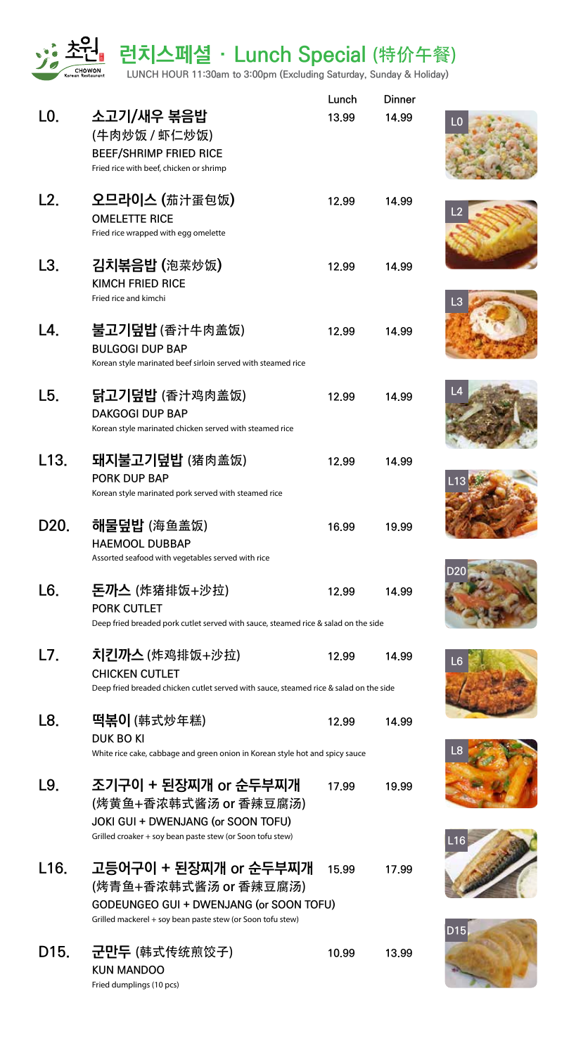<u>∎</u> 런치스페셜 · Lunch Special (特价午餐)

**LUNCH HOUR 11:30am to 3:00pm (Excluding Saturday, Sunday & Holiday)**

|                   |                                                                                                                                                         | Lunch | <b>Dinner</b> |
|-------------------|---------------------------------------------------------------------------------------------------------------------------------------------------------|-------|---------------|
| LO.               | 소고기/새우 볶음밥<br>(牛肉炒饭 / 虾仁炒饭)<br><b>BEEF/SHRIMP FRIED RICE</b>                                                                                            | 13.99 | 14.99         |
|                   | Fried rice with beef, chicken or shrimp                                                                                                                 |       |               |
| L2.               | 오므라이스 (茄汁蛋包饭)<br><b>OMELETTE RICE</b><br>Fried rice wrapped with egg omelette                                                                           | 12.99 | 14.99         |
| L3.               | 김치볶음밥 (泡菜炒饭)<br>KIMCH FRIED RICE<br>Fried rice and kimchi                                                                                               | 12.99 | 14.99         |
| L4.               | 불고기덮밥 (香汁牛肉盖饭)<br><b>BULGOGI DUP BAP</b><br>Korean style marinated beef sirloin served with steamed rice                                                | 12.99 | 14.99         |
| L5.               | 닭고기덮밥 (香汁鸡肉盖饭)<br><b>DAKGOGI DUP BAP</b><br>Korean style marinated chicken served with steamed rice                                                     | 12.99 | 14.99         |
| L <sub>13</sub> . | 돼지불고기덮밥 (猪肉盖饭)<br><b>PORK DUP BAP</b><br>Korean style marinated pork served with steamed rice                                                           | 12.99 | 14.99         |
| D <sub>20</sub>   | 해물덮밥 (海鱼盖饭)<br><b>HAEMOOL DUBBAP</b><br>Assorted seafood with vegetables served with rice                                                               | 16.99 | 19.99         |
| L6.               | <b>돈까스</b> (炸猪排饭+沙拉)<br><b>PORK CUTLET</b><br>Deep fried breaded pork cutlet served with sauce, steamed rice & salad on the side                        | 12.99 | 14.99         |
| L7.               | 치킨까스 (炸鸡排饭+沙拉)<br><b>CHICKEN CUTLET</b><br>Deep fried breaded chicken cutlet served with sauce, steamed rice & salad on the side                        | 12.99 | 14 99         |
| L8.               | 떡볶이 (韩式炒年糕)<br>DUK BO KI<br>White rice cake, cabbage and green onion in Korean style hot and spicy sauce                                                | 12.99 | 14.99         |
| L9.               | 조기구이 + 된장찌개 or 순두부찌개<br>(烤黄鱼+香浓韩式酱汤 or 香辣豆腐汤)<br>JOKI GUI + DWENJANG (or SOON TOFU)<br>Grilled croaker + soy bean paste stew (or Soon tofu stew)        | 17.99 | 19.99         |
| L16.              | 고등어구이 + 된장찌개 or 순두부찌개<br>(烤青鱼+香浓韩式酱汤 or 香辣豆腐汤)<br>GODEUNGEO GUI + DWENJANG (or SOON TOFU)<br>Grilled mackerel + soy bean paste stew (or Soon tofu stew) | 15.99 | 17.99         |
| D <sub>15</sub>   | 군만두 (韩式传统煎饺子)<br><b>KUN MANDOO</b><br>Fried dumplings (10 pcs)                                                                                          | 10.99 | 13.99         |



















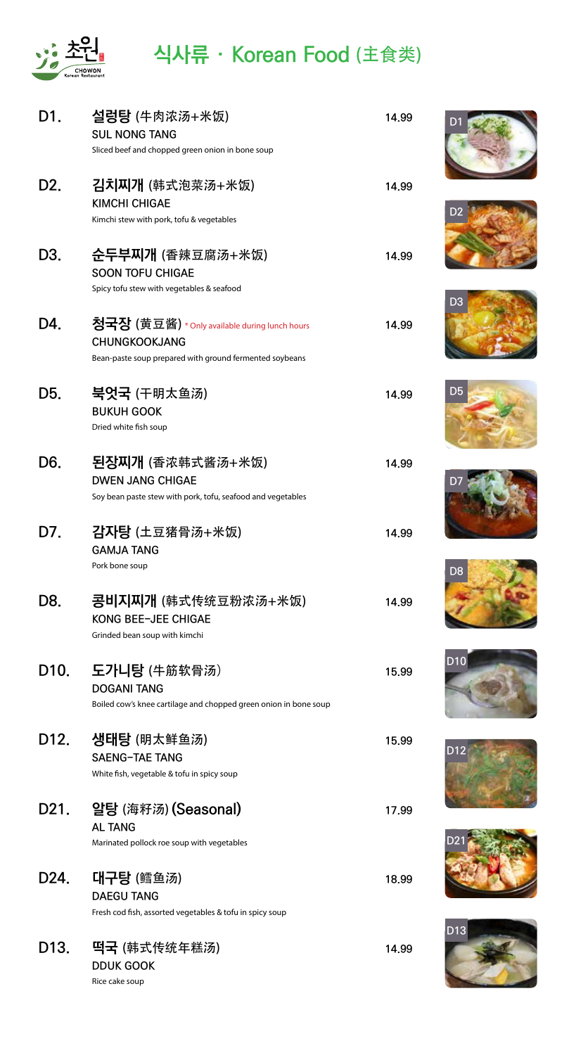

# <sup>原</sup> **식사류 · Korean Food** (主食类)

| D1.               | 설렁탕 (牛肉浓汤+米饭)<br><b>SUL NONG TANG</b><br>Sliced beef and chopped green onion in bone soup              | 14.99 |                 |
|-------------------|--------------------------------------------------------------------------------------------------------|-------|-----------------|
| D <sub>2</sub> .  | 김치찌개 (韩式泡菜汤+米饭)                                                                                        | 14.99 |                 |
|                   | <b>KIMCHI CHIGAE</b><br>Kimchi stew with pork, tofu & vegetables                                       |       | D <sub>2</sub>  |
| D <sub>3</sub> .  | <del>순두부</del> 찌개 (香辣豆腐汤+米饭)<br><b>SOON TOFU CHIGAE</b><br>Spicy tofu stew with vegetables & seafood   | 14.99 |                 |
| D4.               | 청국장 (黄豆酱) * Only available during lunch hours                                                          | 14.99 | D <sub>3</sub>  |
|                   | <b>CHUNGKOOKJANG</b><br>Bean-paste soup prepared with ground fermented soybeans                        |       |                 |
| D5.               | 북엇국 (干明太鱼汤)<br><b>BUKUH GOOK</b><br>Dried white fish soup                                              | 14.99 | D <sub>5</sub>  |
| D <sub>6</sub>    | <b>된장찌개</b> (香浓韩式酱汤+米饭)                                                                                | 14.99 |                 |
|                   | <b>DWEN JANG CHIGAE</b><br>Soy bean paste stew with pork, tofu, seafood and vegetables                 |       | DŽ              |
| D7.               | <b>감자탕</b> (土豆猪骨汤+米饭)<br><b>GAMJA TANG</b><br>Pork bone soup                                           | 14.99 |                 |
| D8.               | <b>콩비지찌개</b> (韩式传统豆粉浓汤+米饭)                                                                             | 14.99 | D <sub>8</sub>  |
|                   | KONG BEE-JEE CHIGAE<br>Grinded bean soup with kimchi                                                   |       |                 |
| D <sub>10</sub>   | 도가니탕 (牛筋软骨汤)<br><b>DOGANI TANG</b><br>Boiled cow's knee cartilage and chopped green onion in bone soup | 15.99 | D <sub>10</sub> |
| D <sub>12</sub>   | 생태탕 (明太鲜鱼汤)                                                                                            | 15,99 |                 |
|                   | <b>SAENG-TAE TANG</b><br>White fish, vegetable & tofu in spicy soup                                    |       | D12             |
| D <sub>21</sub>   | 알탕 (海籽汤) (Seasonal)<br><b>AL TANG</b>                                                                  | 17.99 |                 |
|                   | Marinated pollock roe soup with vegetables                                                             |       |                 |
| D <sub>24</sub>   | 대구탕 (鳕鱼汤)<br><b>DAEGU TANG</b>                                                                         | 18.99 |                 |
|                   | Fresh cod fish, assorted vegetables & tofu in spicy soup                                               |       | D <sub>13</sub> |
| D <sub>13</sub> . | 吗국 (韩式传统年糕汤)<br><b>DDUK GOOK</b><br>Rice cake soup                                                     | 14.99 |                 |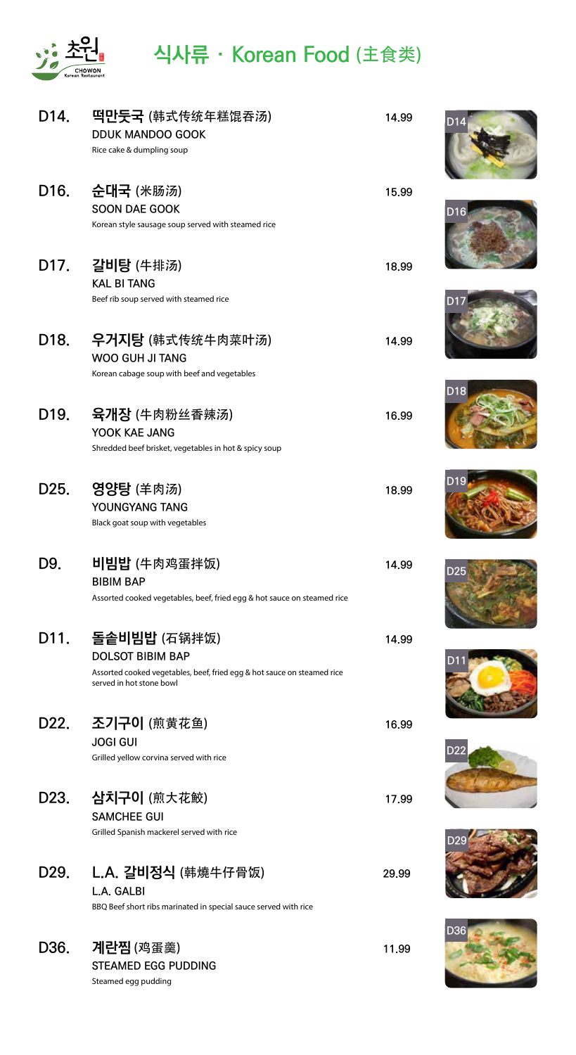

# <sup>原</sup> **식사류 · Korean Food** (主食类)

| D <sub>14</sub> . | 吗만둣국 (韩式传统年糕馄吞汤)<br><b>DDUK MANDOO GOOK</b><br>Rice cake & dumpling soup                                                                       | 14.99 | D <sub>14</sub> |
|-------------------|------------------------------------------------------------------------------------------------------------------------------------------------|-------|-----------------|
| D <sub>16</sub> . | 순대국 (米肠汤)<br><b>SOON DAE GOOK</b><br>Korean style sausage soup served with steamed rice                                                        | 15,99 | D <sub>16</sub> |
|                   | D17. 갈비탕 (牛排汤)<br><b>KAL BI TANG</b><br>Beef rib soup served with steamed rice                                                                 | 18,99 |                 |
| D <sub>18</sub>   | 우거지탕 (韩式传统牛肉菜叶汤)<br><b>WOO GUH JI TANG</b><br>Korean cabage soup with beef and vegetables                                                      | 14.99 |                 |
| D <sub>19</sub>   | 육개장 (牛肉粉丝香辣汤)<br>YOOK KAE JANG<br>Shredded beef brisket, vegetables in hot & spicy soup                                                        | 16,99 | D <sub>18</sub> |
| D25.              | <b>영양탕</b> (羊肉汤)<br>YOUNGYANG TANG<br>Black goat soup with vegetables                                                                          | 18,99 | <b>D19</b>      |
| D9.               | 비빔밥 (牛肉鸡蛋拌饭)<br><b>BIBIM BAP</b><br>Assorted cooked vegetables, beef, fried egg & hot sauce on steamed rice                                    | 14.99 | D <sub>25</sub> |
| D11.              | 돌솥비빔밥 (石锅拌饭)<br><b>DOLSOT BIBIM BAP</b><br>Assorted cooked vegetables, beef, fried egg & hot sauce on steamed rice<br>served in hot stone bowl | 14.99 |                 |
| D <sub>22</sub> . | 조기구이 (煎黄花鱼)<br><b>JOGI GUI</b><br>Grilled yellow corvina served with rice                                                                      | 16.99 | D <sub>2</sub>  |
| D <sub>23</sub> . | 삼치구이 (煎大花鮫)<br><b>SAMCHEE GUI</b><br>Grilled Spanish mackerel served with rice                                                                 | 17.99 |                 |
| D <sub>29</sub> . | L.A. 갈비정식 (韩燒牛仔骨饭)<br>L.A. GALBI<br>BBQ Beef short ribs marinated in special sauce served with rice                                            | 29,99 |                 |
| D36.              | <b>계란찜</b> (鸡蛋羹)<br><b>STEAMED EGG PUDDING</b><br>Steamed egg pudding                                                                          | 11.99 | D36             |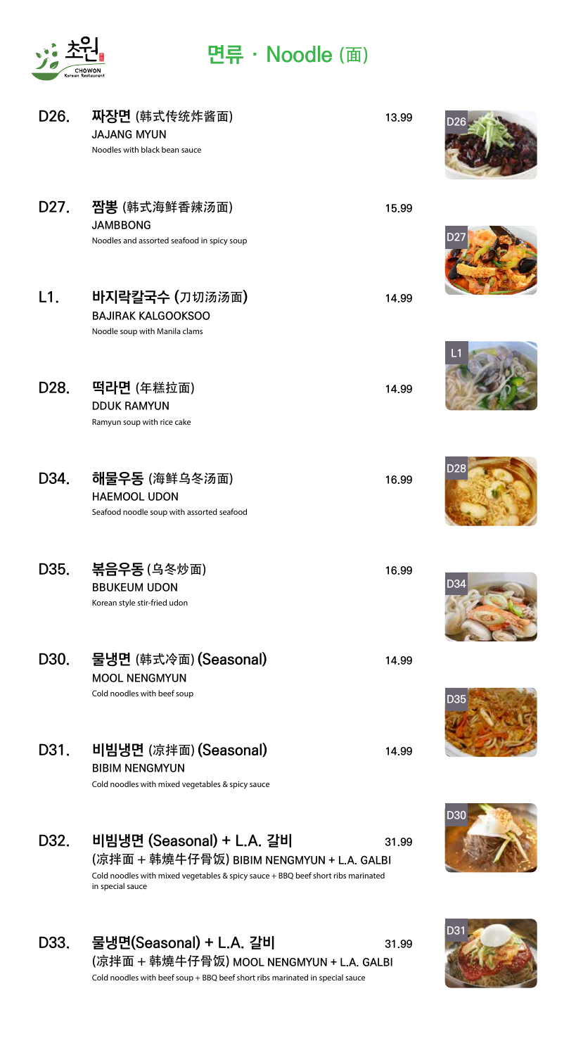

### <sup>原</sup> **면류 · Noodle** (面)

| D <sub>26</sub>   | 짜장면 (韩式传统炸酱面)<br><b>JAJANG MYUN</b><br>Noodles with black bean sauce                                                              | 13.99 |     |
|-------------------|-----------------------------------------------------------------------------------------------------------------------------------|-------|-----|
| D <sub>27</sub>   | <b>JAMBBONG</b><br>Noodles and assorted seafood in spicy soup                                                                     | 15,99 |     |
| L1.               | 바지락칼국수 (刀切汤汤面)<br><b>BAJIRAK KALGOOKSOO</b><br>Noodle soup with Manila clams                                                      | 14.99 |     |
| D <sub>28</sub> . | 떡라면 (年糕拉面)<br><b>DDUK RAMYUN</b><br>Ramyun soup with rice cake                                                                    | 14.99 |     |
| D34.              | 해물우동 (海鲜乌冬汤面)<br><b>HAEMOOL UDON</b><br>Seafood noodle soup with assorted seafood                                                 | 16.99 | D2  |
| D <sub>35</sub> . | <b>볶음우동</b> (乌冬炒面)<br><b>BBUKEUM UDON</b><br>Korean style stir-fried udon                                                         | 16,99 | D34 |
| D30.              | 물냉면 (韩式冷面) (Seasonal)<br><b>MOOL NENGMYUN</b><br>Cold noodles with beef soup                                                      | 14.99 | D35 |
| D31.              | 비빔냉면 (凉拌面) (Seasonal)<br><b>BIBIM NENGMYUN</b><br>Cold noodles with mixed vegetables & spicy sauce                                | 14.99 |     |
| D32.              | 비빔냉면 (Seasonal) + L.A. 갈비<br>Cold noodles with mixed vegetables & spicy sauce + BBQ beef short ribs marinated<br>in special sauce | 31,99 | D30 |
| D <sub>33</sub>   | 묵냉며(Seasonal) + I A 강비                                                                                                            | 31,00 | D31 |

**D33. 물냉면(Seasonal) + L.A. 갈비 31.99** (凉拌面 + 韩燒牛仔骨饭) **MOOL NENGMYUN + L.A. GALBI** Cold noodles with beef soup + BBQ beef short ribs marinated in special sauce

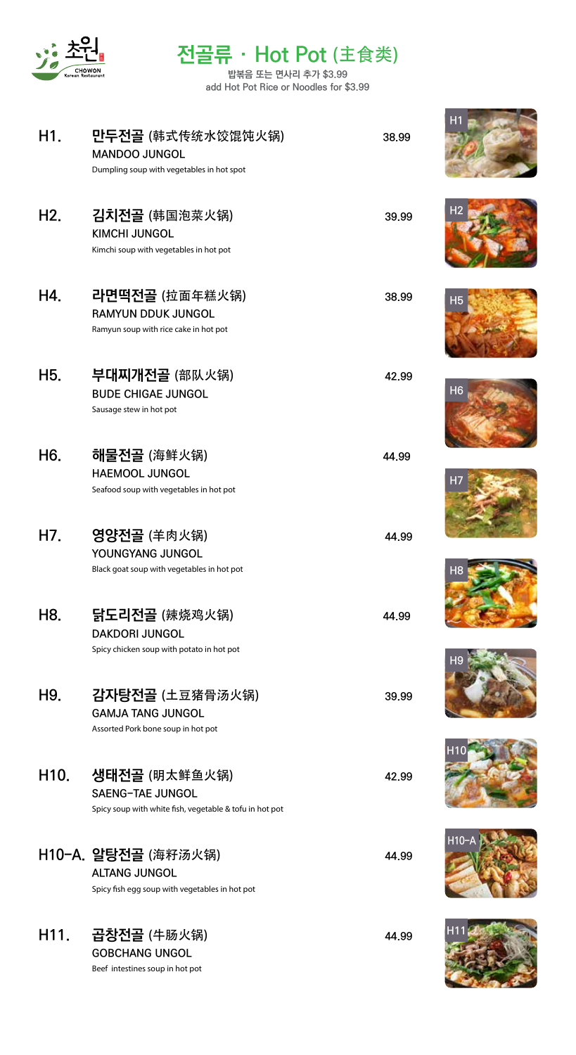

# <sup>原</sup> **전골류 · Hot Pot** (主食类)

**밥볶음 또는 면사리 추가 \$3.99 add Hot Pot Rice or Noodles for \$3.99**

| H1.              | 만두전골 (韩式传统水饺馄饨火锅)<br><b>MANDOO JUNGOL</b><br>Dumpling soup with vegetables in hot spot              | 38.99 | H1              |
|------------------|-----------------------------------------------------------------------------------------------------|-------|-----------------|
| H <sub>2</sub> . | 김치전골 (韩国泡菜火锅)<br><b>KIMCHI JUNGOL</b><br>Kimchi soup with vegetables in hot pot                     | 39.99 | Ηż              |
| H4.              | 라면떡전골 (拉面年糕火锅)<br><b>RAMYUN DDUK JUNGOL</b><br>Ramyun soup with rice cake in hot pot                | 38,99 | H <sub>5</sub>  |
| H <sub>5.</sub>  | 부대찌개전골 (部队火锅)<br><b>BUDE CHIGAE JUNGOL</b><br>Sausage stew in hot pot                               | 42.99 | H <sub>6</sub>  |
| H <sub>6</sub>   | 해물전골 (海鲜火锅)<br><b>HAEMOOL JUNGOL</b><br>Seafood soup with vegetables in hot pot                     | 44.99 | H <sub>7</sub>  |
| H7.              | 영양전골 (羊肉火锅)<br>YOUNGYANG JUNGOL<br>Black goat soup with vegetables in hot pot                       | 44.99 | H <sub>8</sub>  |
| H8.              | 닭도리전골 (辣烧鸡火锅)<br><b>DAKDORI JUNGOL</b><br>Spicy chicken soup with potato in hot pot                 | 44.99 |                 |
| H9.              | 감자탕전골 (土豆猪骨汤火锅)<br><b>GAMJA TANG JUNGOL</b><br>Assorted Pork bone soup in hot pot                   | 39.99 |                 |
| H <sub>10</sub>  | 생태전골 (明太鲜鱼火锅)<br><b>SAENG-TAE JUNGOL</b><br>Spicy soup with white fish, vegetable & tofu in hot pot | 42.99 |                 |
|                  | H10-A. 알탕전골 (海籽汤火锅)<br><b>ALTANG JUNGOL</b><br>Spicy fish egg soup with vegetables in hot pot       | 44.99 | $H10-A$         |
| H <sub>11.</sub> | 곱창전골 (牛肠火锅)<br><b>GOBCHANG UNGOL</b><br>Beef intestines soup in hot pot                             | 44.99 | H <sub>11</sub> |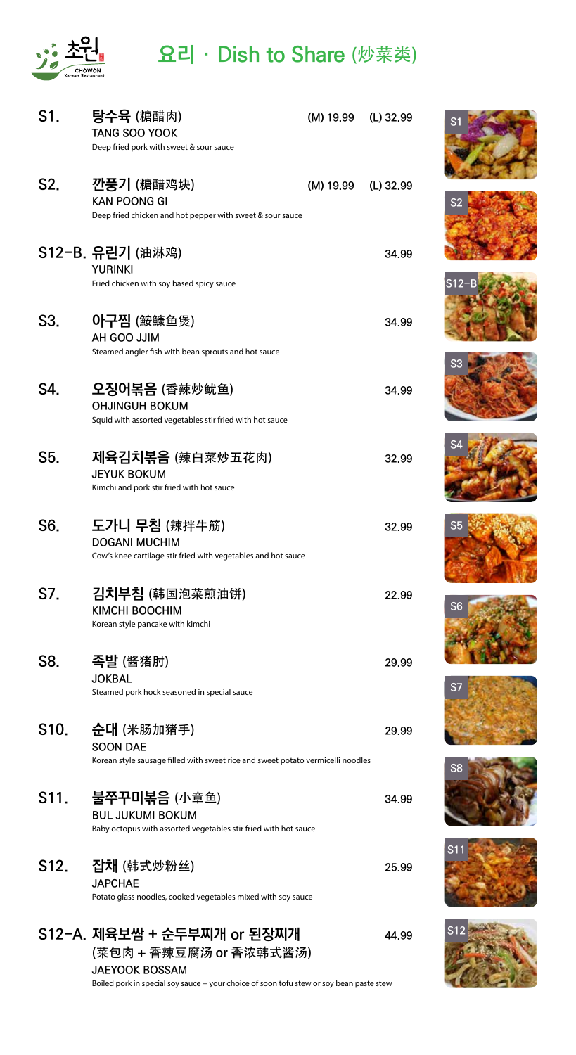

## <sup>原</sup> **요리 · Dish to Share** (炒菜类)

| S1.               | 탕수육 (糖醋肉)<br><b>TANG SOO YOOK</b><br>Deep fried pork with sweet & sour sauce                                     | $(M)$ 19.99 $(L)$ 32.99 |           |
|-------------------|------------------------------------------------------------------------------------------------------------------|-------------------------|-----------|
| S2.               | 깐풍기 (糖醋鸡块)<br><b>KAN POONG GI</b><br>Deep fried chicken and hot pepper with sweet & sour sauce                   | (M) 19.99               | (L) 32.99 |
|                   | S12-B. 유린기 (油淋鸡)<br><b>YURINKI</b><br>Fried chicken with soy based spicy sauce                                   |                         | 34.99     |
| S3.               | 아구찜 (鮟鱇鱼煲)<br>AH GOO JJIM<br>Steamed angler fish with bean sprouts and hot sauce                                 |                         | 34.99     |
| S4.               | 오징어볶음 (香辣炒鱿鱼)<br><b>OHJINGUH BOKUM</b><br>Squid with assorted vegetables stir fried with hot sauce               |                         | 34.99     |
| S5.               | 지육김치볶음 (辣白菜炒五花肉)<br><b>JEYUK BOKUM</b><br>Kimchi and pork stir fried with hot sauce                              |                         | 32.99     |
| S6.               | 도가니 무침 (辣拌牛筋)<br><b>DOGANI MUCHIM</b><br>Cow's knee cartilage stir fried with vegetables and hot sauce           |                         | 32.99     |
| S7.               | 김치부침 (韩国泡菜煎油饼)<br>KIMCHI BOOCHIM<br>Korean style pancake with kimchi                                             |                         | 22.99     |
| S8.               | 족발 (酱猪肘)<br><b>JOKBAL</b><br>Steamed pork hock seasoned in special sauce                                         |                         | 29.99     |
| S <sub>10</sub>   | 순대 (米肠加猪手)<br><b>SOON DAE</b><br>Korean style sausage filled with sweet rice and sweet potato vermicelli noodles |                         | 29.99     |
| S11.              | 불쭈꾸미볶음 (小章鱼)<br><b>BUL JUKUMI BOKUM</b><br>Baby octopus with assorted vegetables stir fried with hot sauce       |                         | 34.99     |
| S <sub>12</sub> . | 잡채 (韩式炒粉丝)<br><b>JAPCHAE</b><br>Potato glass noodles, cooked vegetables mixed with soy sauce                     |                         | 25.99     |
|                   | S12-A. 제육보쌈 + 순두부찌개 or 된장찌개<br>(菜包肉 + 香辣豆腐汤 or 香浓韩式酱汤)<br><b>JAEYOOK BOSSAM</b>                                  |                         | 44.99     |

Boiled pork in special soy sauce + your choice of soon tofu stew or soy bean paste stew





















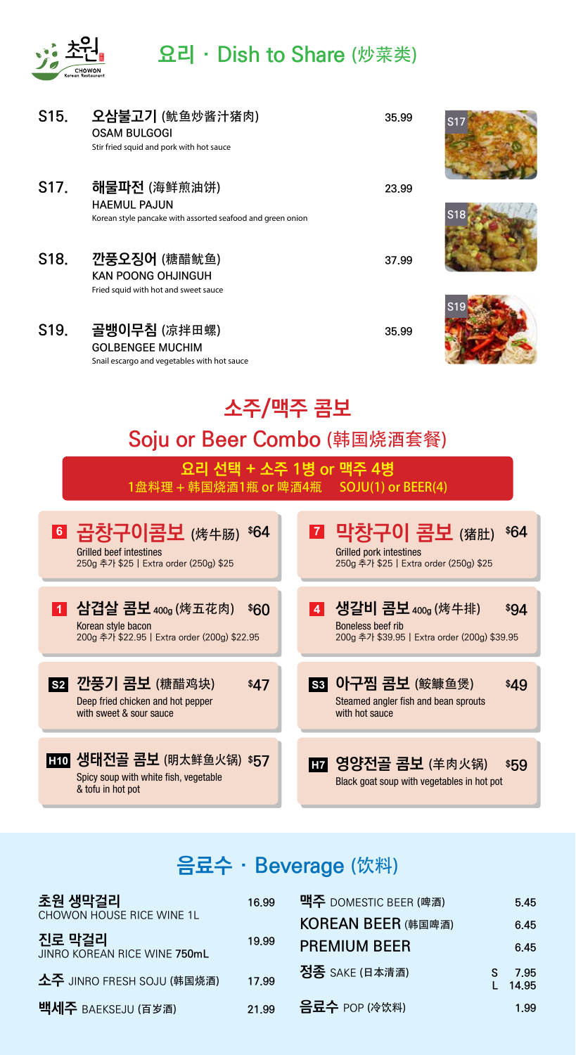

## **요리 · Dish to Share** (炒菜类)

| S <sub>15</sub> . | 오삼불고기 (鱿鱼炒酱汁猪肉)<br><b>OSAM BULGOGI</b><br>Stir fried squid and pork with hot sauce                    |  |  | 35.99                                                                                      | S17  |  |  |
|-------------------|-------------------------------------------------------------------------------------------------------|--|--|--------------------------------------------------------------------------------------------|------|--|--|
| S17.              | 해물파전 (海鲜煎油饼)<br><b>HAEMUL PAJUN</b><br>Korean style pancake with assorted seafood and green onion     |  |  | 23.99                                                                                      | S18  |  |  |
| S <sub>18</sub>   | 깐풍오징어 (糖醋鱿鱼)<br><b>KAN POONG OHJINGUH</b><br>Fried squid with hot and sweet sauce                     |  |  | 37.99                                                                                      |      |  |  |
| S <sub>19</sub>   | 골뱅이무침 (凉拌田螺)<br><b>GOLBENGEE MUCHIM</b><br>Snail escargo and vegetables with hot sauce                |  |  | 35.99                                                                                      |      |  |  |
|                   | 소주/맥주 콤보                                                                                              |  |  |                                                                                            |      |  |  |
|                   | Soju or Beer Combo (韩国烧酒套餐)                                                                           |  |  |                                                                                            |      |  |  |
|                   | 요리 선택 + 소주 1병 or 맥주 4병<br>1盘料理 + 韩国烧酒1瓶 or 啤酒4瓶  SOJU(1) or BEER(4)                                   |  |  |                                                                                            |      |  |  |
|                   | 6 곱창구이콤보 (烤牛肠) \$64<br><b>Grilled beef intestines</b><br>250g 추가 \$25   Extra order (250g) \$25       |  |  | ■ 막창구이 콤보 (猪肚)<br><b>Grilled pork intestines</b><br>250g 추가 \$25   Extra order (250g) \$25 | \$64 |  |  |
| $\vert$ 1         | <b>심겹살 콤보 400g (</b> 烤五花肉) \$60<br>Korean style bacon<br>200g 추가 \$22.95   Extra order (200g) \$22.95 |  |  | 4 생갈비 콤보 400g (烤牛排)<br>Boneless beef rib<br>200g 추가 \$39.95   Extra order (200g) \$39.95   | \$94 |  |  |
|                   | <b>S2 깐풍기 콤보</b> (糖醋鸡块)<br>\$47<br>Deep fried chicken and hot pepper<br>with sweet & sour sauce       |  |  | <b>S3 아구찜 콤보 (鮟鱇鱼煲)</b><br>Steamed angler fish and bean sprouts<br>with hot sauce          | \$49 |  |  |
|                   | H10 생태전골 콤보 (明太鲜鱼火锅) \$57<br>Snicy soun with white fish venetable                                     |  |  | H7 영양전골 콤보 (羊肉火锅)                                                                          | \$59 |  |  |

Spicy soup with white fish, vegetable & tofu in hot pot

Black goat soup with vegetables in hot pot

# **음료수 · Beverage** (饮料)

| 초원 생막걸리                                | 16.99 | 맥주 DOMESTIC BEER (啤酒) | 5.45          |
|----------------------------------------|-------|-----------------------|---------------|
| CHOWON HOUSE RICE WINE 1L              |       | KOREAN BEER (韩国啤酒)    | 6.45          |
| 진로 막걸리<br>JINRO KOREAN RICE WINE 750mL | 19.99 | <b>PREMIUM BEER</b>   | 6.45          |
| 소주 JINRO FRESH SOJU (韩国烧酒)             | 17.99 | 정종 SAKE (日本清酒)        | 7.95<br>14.95 |
| 백세주 BAEKSEJU (百岁酒)                     | 21.99 | <b>吕豆수</b> POP (冷饮料)  | 1.99          |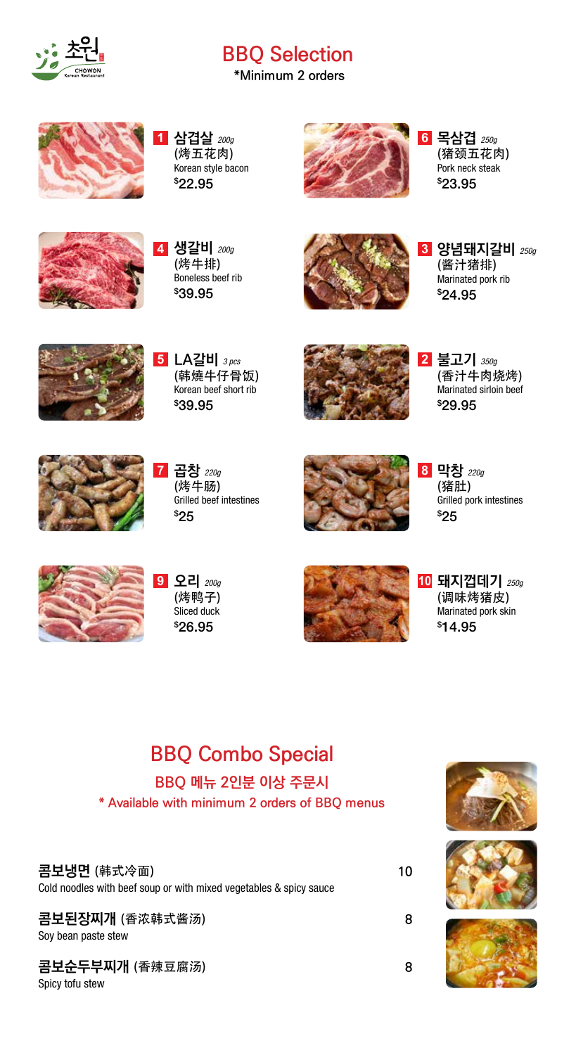

# <sup>原</sup> **BBQ Selection**

**\*Minimum 2 orders**



**삼겹살** *200g* **1** (烤五花肉) Korean style bacon \$ 22.95



**목삼겹** *250g* **6** (猪颈五花肉) Pork neck steak \$ 23.95



**생갈비** *200g* **4** (烤牛排) Boneless beef rib \$ 39.95



**양념돼지갈비** *250g* **3** (酱汁猪排) Marinated pork rib \$ 24.95



**5 LA갈비** *3 pcs* (韩燒牛仔骨饭) Korean beef short rib \$ 39.95



**불고기** *350g* **2** (香汁牛肉烧烤) Marinated sirloin beef \$ 29.95



**곱창** *220g* (烤牛肠) Grilled beef intestines \$ 25 **7**



**막창** *220g* **8** (猪肚) Grilled pork intestines \$ 25



**오리** *200g* **9** (烤鸭子) Sliced duck \$ 26.95



**돼지껍데기** *250g* **10** (调味烤猪皮) Marinated pork skin \$ 14.95

# **BBQ Combo Special**

#### **BBQ 메뉴 2인분 이상 주문시**

**\* Available with minimum 2 orders of BBQ menus**

#### **콤보냉면** (韩式冷面) **10**

Cold noodles with beef soup or with mixed vegetables & spicy sauce

**콤보된장찌개** (香浓韩式酱汤) **8** Soy bean paste stew

**콤보순두부찌개** (香辣豆腐汤) **8** Spicy tofu stew





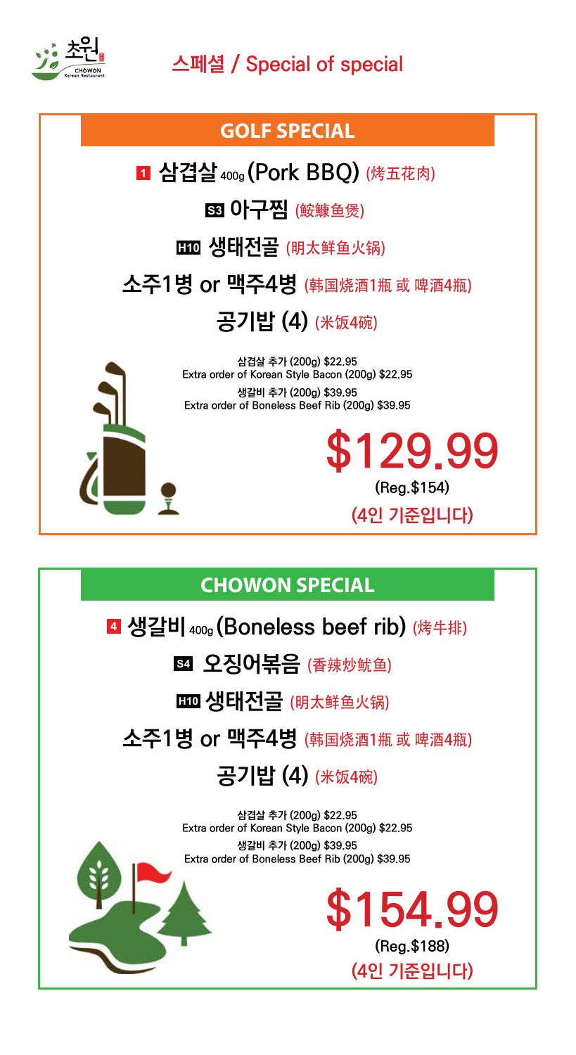

# **스페셜 / Special of special**

#### **GOLF SPECIAL**

 $\blacksquare$  삼겹살 400g (Pork BBQ) (烤五花肉)

 $\overline{\textbf{S3}}$   $\textbf{0}$   $\left|\overline{\textbf{7}}\right|$   $\overline{\textbf{8}}$  (鮟鱇鱼煲)

**HIO 생태전골** (明太鲜鱼火锅)

**소주1병 or 맥주4병** (韩国烧酒1瓶 <sup>或</sup> 啤酒4瓶)

**공기밥 (4)** (米饭4碗)



**삼겹살 추가 (200g) \$22.95 Extra order of Korean Style Bacon (200g) \$22.95 생갈비 추가 (200g) \$39.95 Extra order of Boneless Beef Rib (200g) \$39.95**

## **CHOWON SPECIAL**

## **생갈비 400g (Boneless beef rib)** (烤牛排) **4**

**54 오징어볶음** (香辣炒鱿鱼)

**생태전골** (明太鲜鱼火锅) **H10**

**소주1병 or 맥주4병** (韩国烧酒1瓶 <sup>或</sup> 啤酒4瓶)

# **공기밥 (4)** (米饭4碗)

**삼겹살 추가 (200g) \$22.95 Extra order of Korean Style Bacon (200g) \$22.95 생갈비 추가 (200g) \$39.95 Extra order of Boneless Beef Rib (200g) \$39.95**



**\$129.99**

**(Reg.\$154)**

**(4인 기준입니다)**